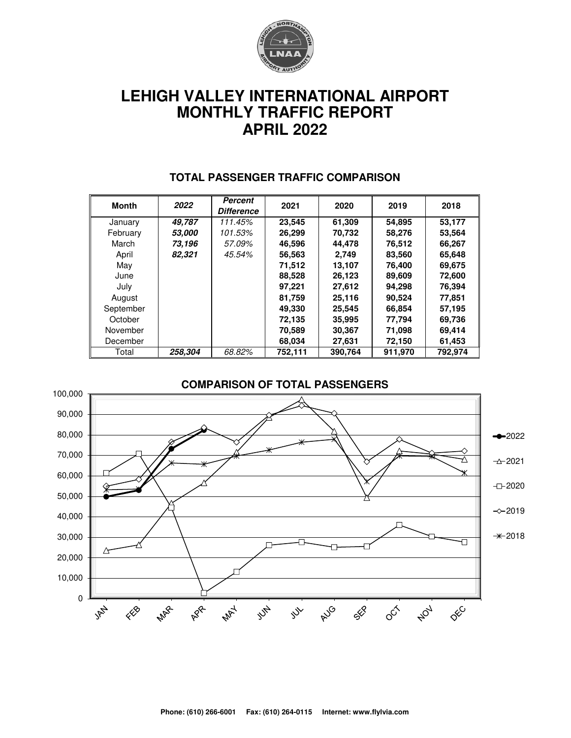

# **LEHIGH VALLEY INTERNATIONAL AIRPORT MONTHLY TRAFFIC REPORT APRIL 2022**

| <b>Month</b> | 2022                 | Percent<br><b>Difference</b> | 2021    | 2020    | 2019    | 2018    |  |
|--------------|----------------------|------------------------------|---------|---------|---------|---------|--|
| January      | 49.787               | 111.45%                      | 23,545  | 61,309  | 54,895  | 53,177  |  |
| February     | <i><b>53.000</b></i> | 101.53%                      | 26,299  | 70,732  | 58,276  | 53,564  |  |
| March        | 73,196               | 57.09%                       | 46.596  | 44.478  | 76,512  | 66,267  |  |
| April        | 82,321               | 45.54%                       | 56,563  | 2.749   | 83,560  | 65,648  |  |
| May          |                      |                              | 71.512  | 13.107  | 76.400  | 69,675  |  |
| June         |                      |                              | 88,528  | 26,123  | 89,609  | 72,600  |  |
| July         |                      |                              | 97,221  | 27,612  | 94,298  | 76,394  |  |
| August       |                      |                              | 81.759  | 25,116  | 90,524  | 77,851  |  |
| September    |                      |                              | 49,330  | 25,545  | 66,854  | 57,195  |  |
| October      |                      |                              | 72,135  | 35,995  | 77,794  | 69,736  |  |
| November     |                      |                              | 70,589  | 30,367  | 71,098  | 69,414  |  |
| December     |                      |                              | 68,034  | 27,631  | 72,150  | 61,453  |  |
| Total        | 258,304              | 68.82%                       | 752,111 | 390,764 | 911,970 | 792,974 |  |

#### **TOTAL PASSENGER TRAFFIC COMPARISON**

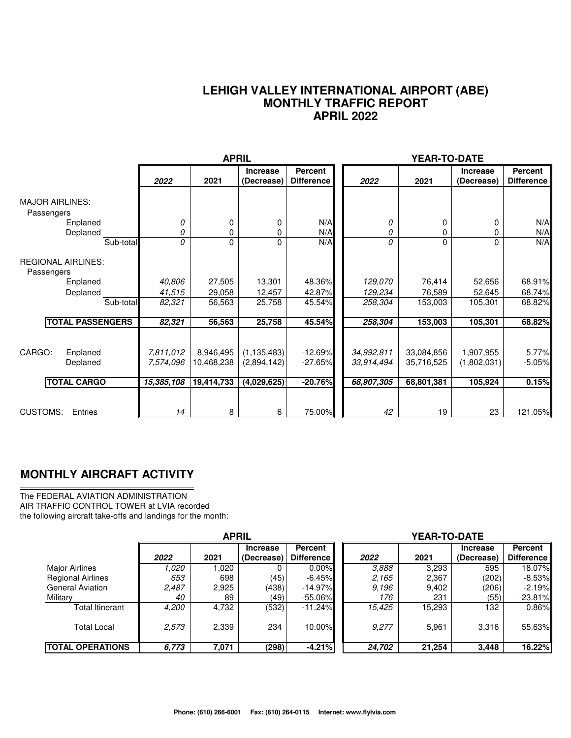#### **LEHIGH VALLEY INTERNATIONAL AIRPORT (ABE) MONTHLY TRAFFIC REPORT APRIL 2022**

|                                                  |                        | <b>APRIL</b>            |                               |                                     | YEAR-TO-DATE             |                          |                               |                                     |
|--------------------------------------------------|------------------------|-------------------------|-------------------------------|-------------------------------------|--------------------------|--------------------------|-------------------------------|-------------------------------------|
|                                                  | 2022                   | 2021                    | <b>Increase</b><br>(Decrease) | <b>Percent</b><br><b>Difference</b> | 2022                     | 2021                     | <b>Increase</b><br>(Decrease) | <b>Percent</b><br><b>Difference</b> |
| <b>MAJOR AIRLINES:</b><br>Passengers<br>Enplaned | 0                      | 0                       | 0                             | N/A                                 | 0                        | 0                        | 0                             | N/A                                 |
| Deplaned                                         | 0                      | 0                       | 0                             | N/A                                 | 0                        | 0                        | 0                             | N/A                                 |
| Sub-total<br><b>REGIONAL AIRLINES:</b>           | 0                      | 0                       | 0                             | N/A                                 | 0                        | $\Omega$                 | 0                             | N/A                                 |
| Passengers<br>Enplaned                           | 40,806                 | 27,505                  | 13,301                        | 48.36%                              | 129,070                  | 76,414                   | 52,656                        | 68.91%                              |
| Deplaned                                         | 41,515                 | 29,058                  | 12,457                        | 42.87%                              | 129,234                  | 76,589                   | 52,645                        | 68.74%                              |
| Sub-total                                        | 82,321                 | 56,563                  | 25,758                        | 45.54%                              | 258,304                  | 153,003                  | 105,301                       | 68.82%                              |
| <b>TOTAL PASSENGERS</b>                          | 82,321                 | 56,563                  | 25,758                        | 45.54%                              | 258,304                  | 153,003                  | 105,301                       | 68.82%                              |
| CARGO:<br>Enplaned<br>Deplaned                   | 7,811,012<br>7,574,096 | 8,946,495<br>10,468,238 | (1, 135, 483)<br>(2,894,142)  | $-12.69%$<br>$-27.65%$              | 34,992,811<br>33,914,494 | 33,084,856<br>35,716,525 | 1,907,955<br>(1,802,031)      | 5.77%<br>$-5.05%$                   |
| <b>TOTAL CARGO</b>                               | 15,385,108             | 19,414,733              | (4,029,625)                   | $-20.76%$                           | 68,907,305               | 68,801,381               | 105,924                       | 0.15%                               |
| <b>CUSTOMS:</b><br>Entries                       | 14                     | 8                       | 6                             | 75.00%                              | 42                       | 19                       | 23                            | 121.05%                             |

### **MONTHLY AIRCRAFT ACTIVITY**

The FEDERAL AVIATION ADMINISTRATION AIR TRAFFIC CONTROL TOWER at LVIA recorded the following aircraft take-offs and landings for the month:

|                          | <b>APRIL</b> |       |                               |                                     | YEAR-TO-DATE |        |                               |                                     |  |  |
|--------------------------|--------------|-------|-------------------------------|-------------------------------------|--------------|--------|-------------------------------|-------------------------------------|--|--|
|                          | 2022         | 2021  | <b>Increase</b><br>(Decrease) | <b>Percent</b><br><b>Difference</b> | 2022         | 2021   | <b>Increase</b><br>(Decrease) | <b>Percent</b><br><b>Difference</b> |  |  |
| Major Airlines           | 1.020        | 1,020 |                               | $0.00\%$                            | 3.888        | 3,293  | 595                           | 18.07%                              |  |  |
| <b>Regional Airlines</b> | 653          | 698   | (45)                          | $-6.45\%$                           | 2.165        | 2,367  | (202)                         | -8.53%l                             |  |  |
| <b>General Aviation</b>  | 2,487        | 2,925 | (438)                         | $-14.97%$                           | 9.196        | 9,402  | (206)                         | $-2.19%$                            |  |  |
| Military                 | 40           | 89    | (49)                          | $-55.06\%$                          | 176          | 231    | (55)                          | $-23.81%$                           |  |  |
| Total Itinerant          | 4,200        | 4,732 | (532)                         | $-11.24%$                           | 15,425       | 15,293 | 132                           | 0.86%                               |  |  |
| <b>Total Local</b>       | 2,573        | 2,339 | 234                           | 10.00%                              | 9,277        | 5.961  | 3,316                         | 55.63%                              |  |  |
| <b>TOTAL OPERATIONS</b>  | 6,773        | 7,071 | (298)                         | $-4.21%$                            | 24,702       | 21,254 | 3.448                         | 16.22%                              |  |  |